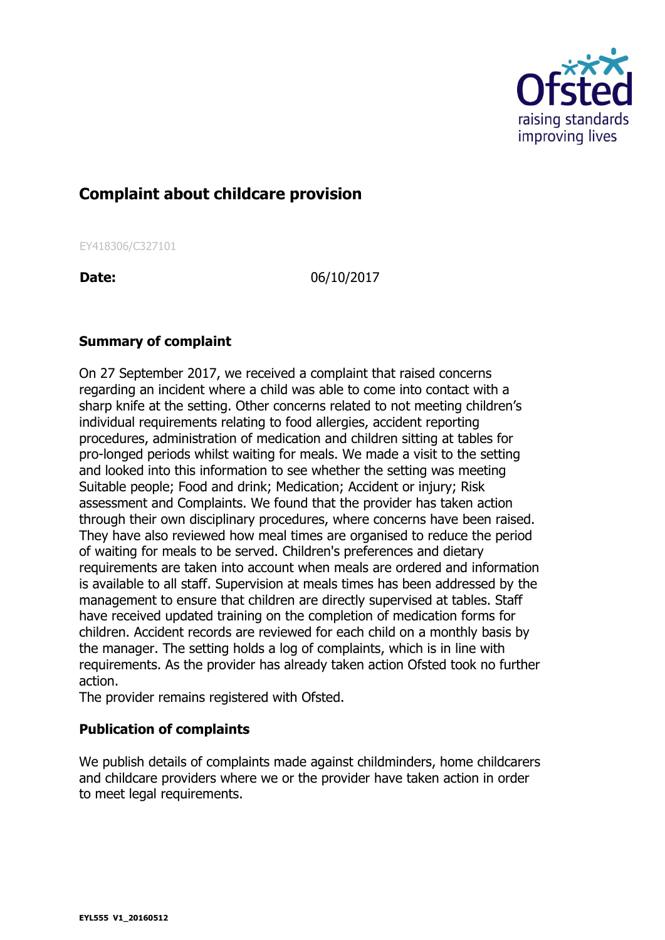

## **Complaint about childcare provision**

EY418306/C327101

**Date:** 06/10/2017

## **Summary of complaint**

On 27 September 2017, we received a complaint that raised concerns regarding an incident where a child was able to come into contact with a sharp knife at the setting. Other concerns related to not meeting children's individual requirements relating to food allergies, accident reporting procedures, administration of medication and children sitting at tables for pro-longed periods whilst waiting for meals. We made a visit to the setting and looked into this information to see whether the setting was meeting Suitable people; Food and drink; Medication; Accident or injury; Risk assessment and Complaints. We found that the provider has taken action through their own disciplinary procedures, where concerns have been raised. They have also reviewed how meal times are organised to reduce the period of waiting for meals to be served. Children's preferences and dietary requirements are taken into account when meals are ordered and information is available to all staff. Supervision at meals times has been addressed by the management to ensure that children are directly supervised at tables. Staff have received updated training on the completion of medication forms for children. Accident records are reviewed for each child on a monthly basis by the manager. The setting holds a log of complaints, which is in line with requirements. As the provider has already taken action Ofsted took no further action.

The provider remains registered with Ofsted.

## **Publication of complaints**

We publish details of complaints made against childminders, home childcarers and childcare providers where we or the provider have taken action in order to meet legal requirements.